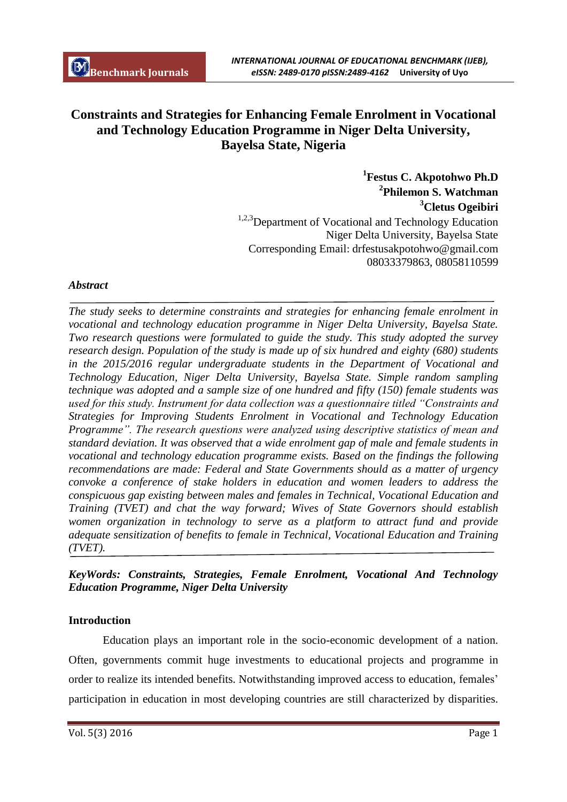# **Constraints and Strategies for Enhancing Female Enrolment in Vocational and Technology Education Programme in Niger Delta University, Bayelsa State, Nigeria**

**1 Festus C. Akpotohwo Ph.D 2 Philemon S. Watchman <sup>3</sup>Cletus Ogeibiri** <sup>1,2,3</sup>Department of Vocational and Technology Education Niger Delta University, Bayelsa State Corresponding Email: drfestusakpotohwo@gmail.com 08033379863, 08058110599

## *Abstract*

*The study seeks to determine constraints and strategies for enhancing female enrolment in vocational and technology education programme in Niger Delta University, Bayelsa State. Two research questions were formulated to guide the study. This study adopted the survey research design. Population of the study is made up of six hundred and eighty (680) students in the 2015/2016 regular undergraduate students in the Department of Vocational and Technology Education, Niger Delta University, Bayelsa State. Simple random sampling technique was adopted and a sample size of one hundred and fifty (150) female students was used for this study. Instrument for data collection was a questionnaire titled "Constraints and Strategies for Improving Students Enrolment in Vocational and Technology Education Programme". The research questions were analyzed using descriptive statistics of mean and standard deviation. It was observed that a wide enrolment gap of male and female students in vocational and technology education programme exists. Based on the findings the following recommendations are made: Federal and State Governments should as a matter of urgency convoke a conference of stake holders in education and women leaders to address the conspicuous gap existing between males and females in Technical, Vocational Education and Training (TVET) and chat the way forward; Wives of State Governors should establish women organization in technology to serve as a platform to attract fund and provide adequate sensitization of benefits to female in Technical, Vocational Education and Training (TVET).*

# *KeyWords: Constraints, Strategies, Female Enrolment, Vocational And Technology Education Programme, Niger Delta University*

## **Introduction**

Education plays an important role in the socio-economic development of a nation. Often, governments commit huge investments to educational projects and programme in order to realize its intended benefits. Notwithstanding improved access to education, females' participation in education in most developing countries are still characterized by disparities.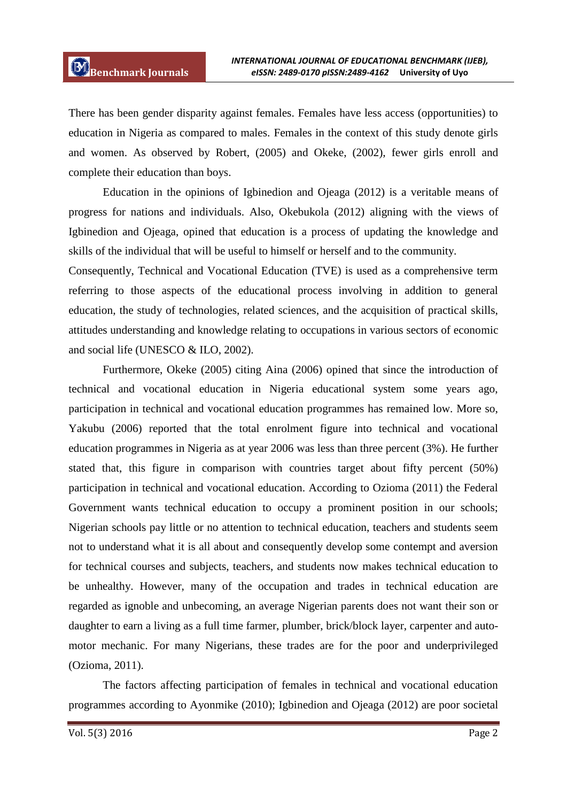There has been gender disparity against females. Females have less access (opportunities) to education in Nigeria as compared to males. Females in the context of this study denote girls and women. As observed by Robert, (2005) and Okeke, (2002), fewer girls enroll and complete their education than boys.

Education in the opinions of Igbinedion and Ojeaga (2012) is a veritable means of progress for nations and individuals. Also, Okebukola (2012) aligning with the views of Igbinedion and Ojeaga, opined that education is a process of updating the knowledge and skills of the individual that will be useful to himself or herself and to the community.

Consequently, Technical and Vocational Education (TVE) is used as a comprehensive term referring to those aspects of the educational process involving in addition to general education, the study of technologies, related sciences, and the acquisition of practical skills, attitudes understanding and knowledge relating to occupations in various sectors of economic and social life (UNESCO & ILO, 2002).

Furthermore, Okeke (2005) citing Aina (2006) opined that since the introduction of technical and vocational education in Nigeria educational system some years ago, participation in technical and vocational education programmes has remained low. More so, Yakubu (2006) reported that the total enrolment figure into technical and vocational education programmes in Nigeria as at year 2006 was less than three percent (3%). He further stated that, this figure in comparison with countries target about fifty percent (50%) participation in technical and vocational education. According to Ozioma (2011) the Federal Government wants technical education to occupy a prominent position in our schools; Nigerian schools pay little or no attention to technical education, teachers and students seem not to understand what it is all about and consequently develop some contempt and aversion for technical courses and subjects, teachers, and students now makes technical education to be unhealthy. However, many of the occupation and trades in technical education are regarded as ignoble and unbecoming, an average Nigerian parents does not want their son or daughter to earn a living as a full time farmer, plumber, brick/block layer, carpenter and automotor mechanic. For many Nigerians, these trades are for the poor and underprivileged (Ozioma, 2011).

The factors affecting participation of females in technical and vocational education programmes according to Ayonmike (2010); Igbinedion and Ojeaga (2012) are poor societal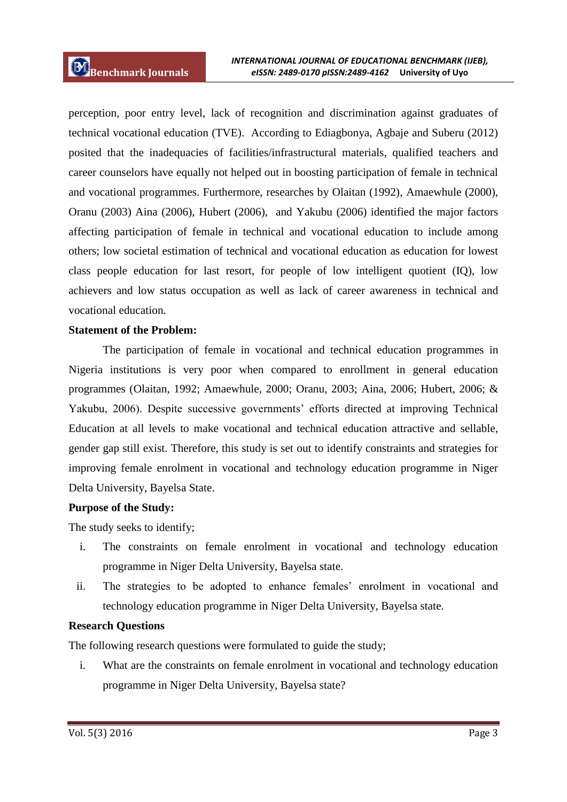perception, poor entry level, lack of recognition and discrimination against graduates of technical vocational education (TVE). According to Ediagbonya, Agbaje and Suberu (2012) posited that the inadequacies of facilities/infrastructural materials, qualified teachers and career counselors have equally not helped out in boosting participation of female in technical and vocational programmes. Furthermore, researches by Olaitan (1992), Amaewhule (2000), Oranu (2003) Aina (2006), Hubert (2006), and Yakubu (2006) identified the major factors affecting participation of female in technical and vocational education to include among others; low societal estimation of technical and vocational education as education for lowest class people education for last resort, for people of low intelligent quotient (IQ), low achievers and low status occupation as well as lack of career awareness in technical and vocational education.

## **Statement of the Problem:**

The participation of female in vocational and technical education programmes in Nigeria institutions is very poor when compared to enrollment in general education programmes (Olaitan, 1992; Amaewhule, 2000; Oranu, 2003; Aina, 2006; Hubert, 2006; & Yakubu, 2006). Despite successive governments' efforts directed at improving Technical Education at all levels to make vocational and technical education attractive and sellable, gender gap still exist. Therefore, this study is set out to identify constraints and strategies for improving female enrolment in vocational and technology education programme in Niger Delta University, Bayelsa State.

### **Purpose of the Study:**

The study seeks to identify;

- i. The constraints on female enrolment in vocational and technology education programme in Niger Delta University, Bayelsa state.
- ii. The strategies to be adopted to enhance females' enrolment in vocational and technology education programme in Niger Delta University, Bayelsa state.

### **Research Questions**

The following research questions were formulated to guide the study;

i. What are the constraints on female enrolment in vocational and technology education programme in Niger Delta University, Bayelsa state?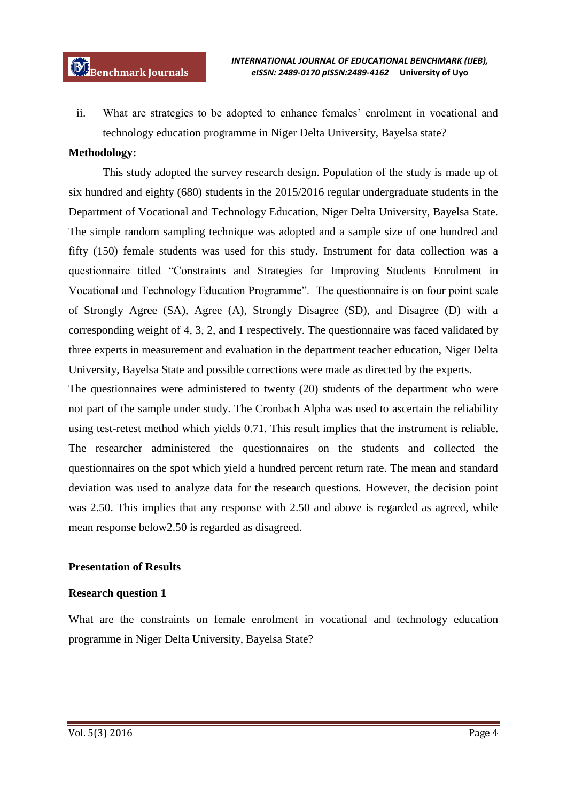ii. What are strategies to be adopted to enhance females' enrolment in vocational and technology education programme in Niger Delta University, Bayelsa state?

### **Methodology:**

This study adopted the survey research design. Population of the study is made up of six hundred and eighty (680) students in the 2015/2016 regular undergraduate students in the Department of Vocational and Technology Education, Niger Delta University, Bayelsa State. The simple random sampling technique was adopted and a sample size of one hundred and fifty (150) female students was used for this study. Instrument for data collection was a questionnaire titled "Constraints and Strategies for Improving Students Enrolment in Vocational and Technology Education Programme". The questionnaire is on four point scale of Strongly Agree (SA), Agree (A), Strongly Disagree (SD), and Disagree (D) with a corresponding weight of 4, 3, 2, and 1 respectively. The questionnaire was faced validated by three experts in measurement and evaluation in the department teacher education, Niger Delta University, Bayelsa State and possible corrections were made as directed by the experts.

The questionnaires were administered to twenty (20) students of the department who were not part of the sample under study. The Cronbach Alpha was used to ascertain the reliability using test-retest method which yields 0.71. This result implies that the instrument is reliable. The researcher administered the questionnaires on the students and collected the questionnaires on the spot which yield a hundred percent return rate. The mean and standard deviation was used to analyze data for the research questions. However, the decision point was 2.50. This implies that any response with 2.50 and above is regarded as agreed, while mean response below2.50 is regarded as disagreed.

#### **Presentation of Results**

#### **Research question 1**

What are the constraints on female enrolment in vocational and technology education programme in Niger Delta University, Bayelsa State?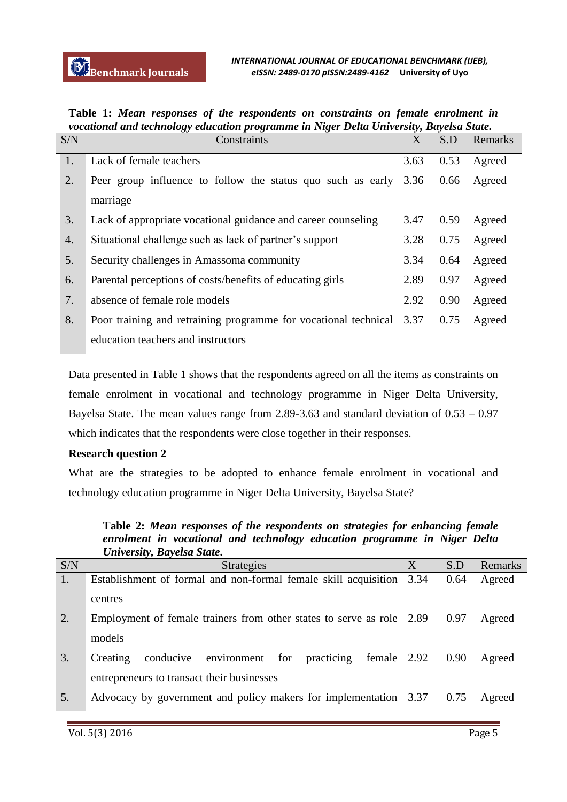| S/N | госинонин ини теснионогу еаисинон ргоггиште т тугет Деши Оннустыу, Биуеви Биие.<br>Constraints | X    | S.D  | Remarks |
|-----|------------------------------------------------------------------------------------------------|------|------|---------|
| 1.  | Lack of female teachers                                                                        | 3.63 | 0.53 | Agreed  |
| 2.  | Peer group influence to follow the status quo such as early 3.36                               |      | 0.66 | Agreed  |
|     | marriage                                                                                       |      |      |         |
| 3.  | Lack of appropriate vocational guidance and career counseling                                  | 3.47 | 0.59 | Agreed  |
| 4.  | Situational challenge such as lack of partner's support                                        | 3.28 | 0.75 | Agreed  |
| 5.  | Security challenges in Amassoma community                                                      | 3.34 | 0.64 | Agreed  |
| 6.  | Parental perceptions of costs/benefits of educating girls                                      | 2.89 | 0.97 | Agreed  |
| 7.  | absence of female role models                                                                  | 2.92 | 0.90 | Agreed  |
| 8.  | Poor training and retraining programme for vocational technical                                | 3.37 | 0.75 | Agreed  |
|     | education teachers and instructors                                                             |      |      |         |

**Table 1:** *Mean responses of the respondents on constraints on female enrolment in vocational and technology education programme in Niger Delta University, Bayelsa State.*

Data presented in Table 1 shows that the respondents agreed on all the items as constraints on female enrolment in vocational and technology programme in Niger Delta University, Bayelsa State. The mean values range from 2.89-3.63 and standard deviation of 0.53 – 0.97 which indicates that the respondents were close together in their responses.

## **Research question 2**

What are the strategies to be adopted to enhance female enrolment in vocational and technology education programme in Niger Delta University, Bayelsa State?

**Table 2:** *Mean responses of the respondents on strategies for enhancing female enrolment in vocational and technology education programme in Niger Delta University, Bayelsa State***.**

| S/N | <b>Strategies</b>                                                     | S.D  | Remarks |
|-----|-----------------------------------------------------------------------|------|---------|
| 1.  | Establishment of formal and non-formal female skill acquisition 3.34  | 0.64 | Agreed  |
|     | centres                                                               |      |         |
| 2.  | Employment of female trainers from other states to serve as role 2.89 | 0.97 | Agreed  |
|     | models                                                                |      |         |
| 3.  | practicing female 2.92<br>environment for<br>conducive<br>Creating    | 0.90 | Agreed  |
|     | entrepreneurs to transact their businesses                            |      |         |
| 5.  | Advocacy by government and policy makers for implementation 3.37      | 0.75 | Agreed  |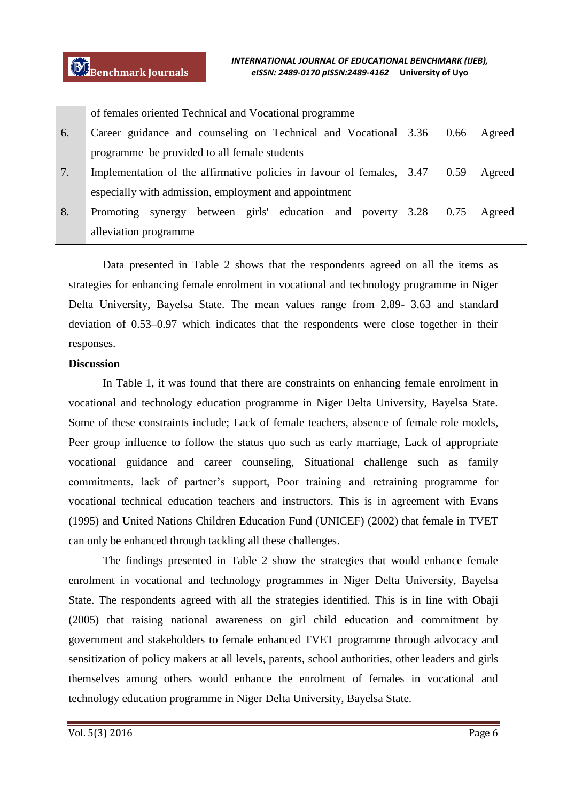of females oriented Technical and Vocational programme

- 6. Career guidance and counseling on Technical and Vocational programme be provided to all female students 0.66 Agreed
- 7. Implementation of the affirmative policies in favour of females, especially with admission, employment and appointment 0.59 Agreed
- 8. Promoting synergy between girls' education and poverty alleviation programme 0.75 Agreed

Data presented in Table 2 shows that the respondents agreed on all the items as strategies for enhancing female enrolment in vocational and technology programme in Niger Delta University, Bayelsa State. The mean values range from 2.89- 3.63 and standard deviation of 0.53–0.97 which indicates that the respondents were close together in their responses.

#### **Discussion**

In Table 1, it was found that there are constraints on enhancing female enrolment in vocational and technology education programme in Niger Delta University, Bayelsa State. Some of these constraints include; Lack of female teachers, absence of female role models, Peer group influence to follow the status quo such as early marriage, Lack of appropriate vocational guidance and career counseling, Situational challenge such as family commitments, lack of partner's support, Poor training and retraining programme for vocational technical education teachers and instructors. This is in agreement with Evans (1995) and United Nations Children Education Fund (UNICEF) (2002) that female in TVET can only be enhanced through tackling all these challenges.

The findings presented in Table 2 show the strategies that would enhance female enrolment in vocational and technology programmes in Niger Delta University, Bayelsa State. The respondents agreed with all the strategies identified. This is in line with Obaji (2005) that raising national awareness on girl child education and commitment by government and stakeholders to female enhanced TVET programme through advocacy and sensitization of policy makers at all levels, parents, school authorities, other leaders and girls themselves among others would enhance the enrolment of females in vocational and technology education programme in Niger Delta University, Bayelsa State.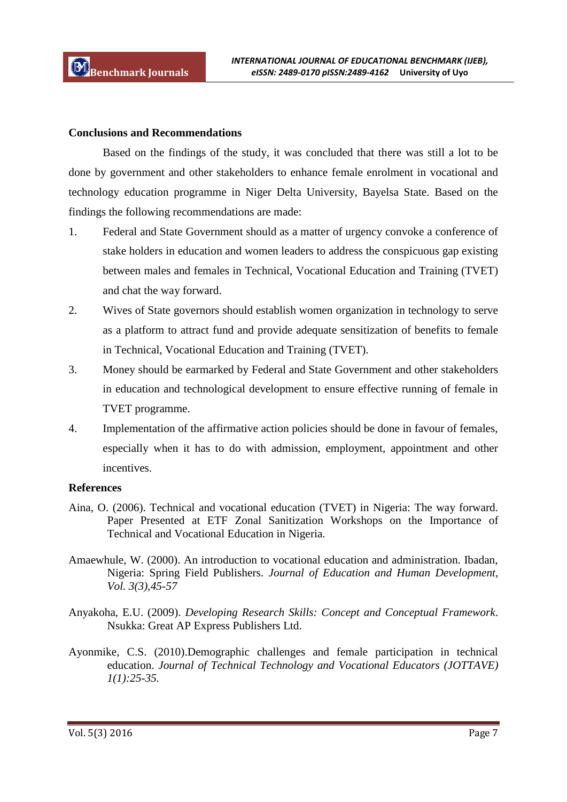### **Conclusions and Recommendations**

Based on the findings of the study, it was concluded that there was still a lot to be done by government and other stakeholders to enhance female enrolment in vocational and technology education programme in Niger Delta University, Bayelsa State. Based on the findings the following recommendations are made:

- 1. Federal and State Government should as a matter of urgency convoke a conference of stake holders in education and women leaders to address the conspicuous gap existing between males and females in Technical, Vocational Education and Training (TVET) and chat the way forward.
- 2. Wives of State governors should establish women organization in technology to serve as a platform to attract fund and provide adequate sensitization of benefits to female in Technical, Vocational Education and Training (TVET).
- 3. Money should be earmarked by Federal and State Government and other stakeholders in education and technological development to ensure effective running of female in TVET programme.
- 4. Implementation of the affirmative action policies should be done in favour of females, especially when it has to do with admission, employment, appointment and other incentives.

### **References**

- Aina, O. (2006). Technical and vocational education (TVET) in Nigeria: The way forward. Paper Presented at ETF Zonal Sanitization Workshops on the Importance of Technical and Vocational Education in Nigeria.
- Amaewhule, W. (2000). An introduction to vocational education and administration. Ibadan, Nigeria: Spring Field Publishers. *Journal of Education and Human Development, Vol. 3(3),45-57*
- Anyakoha, E.U. (2009). *Developing Research Skills: Concept and Conceptual Framework*. Nsukka: Great AP Express Publishers Ltd.
- Ayonmike, C.S. (2010).Demographic challenges and female participation in technical education. *Journal of Technical Technology and Vocational Educators (JOTTAVE) 1(1):25-35.*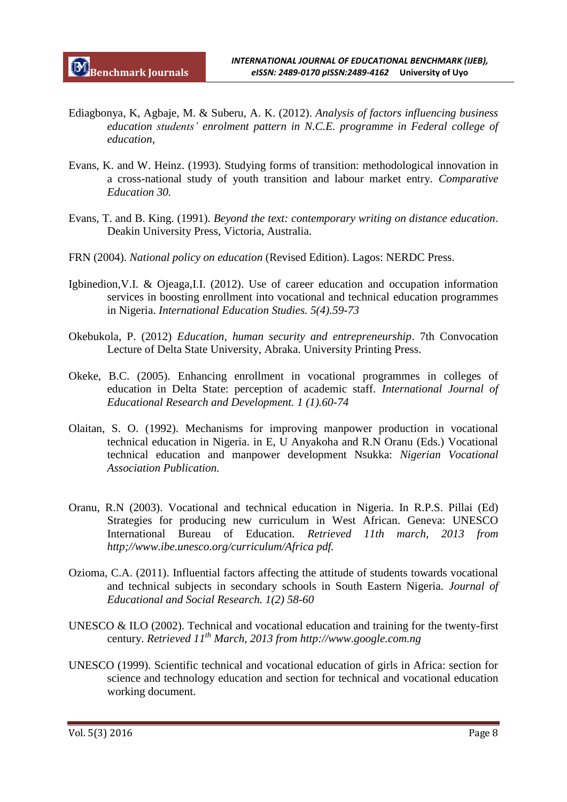- Ediagbonya, K, Agbaje, M. & Suberu, A. K. (2012). *Analysis of factors influencing business education students' enrolment pattern in N.C.E. programme in Federal college of education,*
- Evans, K. and W. Heinz. (1993). Studying forms of transition: methodological innovation in a cross-national study of youth transition and labour market entry. *Comparative Education 30.*
- Evans, T. and B. King. (1991). *Beyond the text: contemporary writing on distance education*. Deakin University Press, Victoria, Australia.
- FRN (2004). *National policy on education* (Revised Edition). Lagos: NERDC Press.
- Igbinedion,V.I. & Ojeaga,I.I. (2012). Use of career education and occupation information services in boosting enrollment into vocational and technical education programmes in Nigeria. *International Education Studies. 5(4).59-73*
- Okebukola, P. (2012) *Education, human security and entrepreneurship*. 7th Convocation Lecture of Delta State University, Abraka. University Printing Press.
- Okeke, B.C. (2005). Enhancing enrollment in vocational programmes in colleges of education in Delta State: perception of academic staff. *International Journal of Educational Research and Development. 1 (1).60-74*
- Olaitan, S. O. (1992). Mechanisms for improving manpower production in vocational technical education in Nigeria. in E, U Anyakoha and R.N Oranu (Eds.) Vocational technical education and manpower development Nsukka: *Nigerian Vocational Association Publication.*
- Oranu, R.N (2003). Vocational and technical education in Nigeria. In R.P.S. Pillai (Ed) Strategies for producing new curriculum in West African. Geneva: UNESCO International Bureau of Education. *Retrieved 11th march, 2013 from http;//www.ibe.unesco.org/curriculum/Africa pdf.*
- Ozioma, C.A. (2011). Influential factors affecting the attitude of students towards vocational and technical subjects in secondary schools in South Eastern Nigeria. *Journal of Educational and Social Research. 1(2) 58-60*
- UNESCO & ILO (2002). Technical and vocational education and training for the twenty-first century. *Retrieved 11th March, 2013 from http://www.google.com.ng*
- UNESCO (1999). Scientific technical and vocational education of girls in Africa: section for science and technology education and section for technical and vocational education working document.